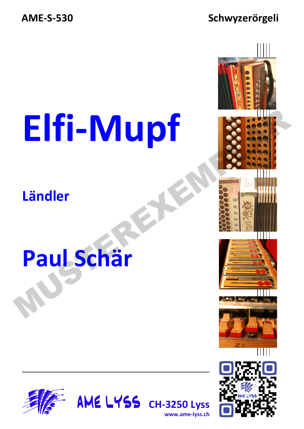#### **AME-S-530 Schwyzerörgeli**

# **Elfi-Mupf**

#### **Ländler**

## **Paul Schär**